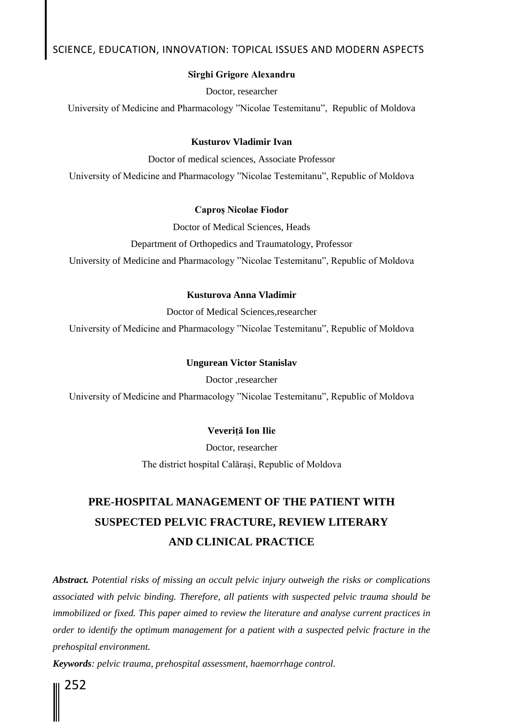### **Sîrghi Grigore Alexandru**

Doctor, researcher

University of Medicine and Pharmacology "Nicolae Testemitanu", Republic of Moldova

### **Kusturov Vladimir Ivan**

Doctor of medical sciences, Associate Professor University of Medicine and Pharmacology "Nicolae Testemitanu", Republic of Moldova

### **Caproș Nicolae Fiodor**

Doctor of Medical Sciences, Heads

Department of Orthopedics and Traumatology, Professor

University of Medicine and Pharmacology "Nicolae Testemitanu", Republic of Moldova

### **Kusturova Anna Vladimir**

Doctor of Medical Sciences,researcher University of Medicine and Pharmacology "Nicolae Testemitanu", Republic of Moldova

#### **Ungurean Victor Stanislav**

Doctor ,researcher

University of Medicine and Pharmacology "Nicolae Testemitanu", Republic of Moldova

### **Veveriță Ion Ilie**

Doctor, researcher The district hospital Calărași, Republic of Moldova

# **PRE-HOSPITAL MANAGEMENT OF THE PATIENT WITH SUSPECTED PELVIC FRACTURE, REVIEW LITERARY AND CLINICAL PRACTICE**

*Abstract. Potential risks of missing an occult pelvic injury outweigh the risks or complications associated with pelvic binding. Therefore, all patients with suspected pelvic trauma should be immobilized or fixed. This paper aimed to review the literature and analyse current practices in order to identify the optimum management for a patient with a suspected pelvic fracture in the prehospital environment.*

*Keywords: pelvic trauma, prehospital assessment, haemorrhage control.* 

252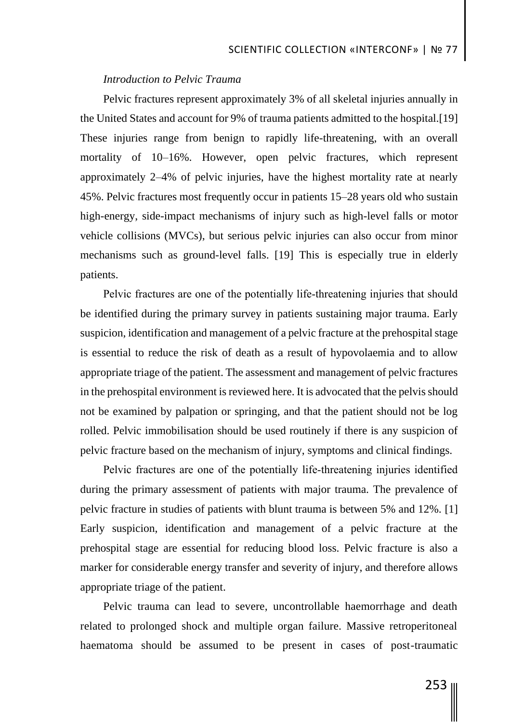## *Introduction to Pelvic Trauma*

Pelvic fractures represent approximately 3% of all skeletal injuries annually in the United States and account for 9% of trauma patients admitted to the hospital.[19] These injuries range from benign to rapidly life-threatening, with an overall mortality of 10–16%. However, open pelvic fractures, which represent approximately 2–4% of pelvic injuries, have the highest mortality rate at nearly 45%. Pelvic fractures most frequently occur in patients 15–28 years old who sustain high-energy, side-impact mechanisms of injury such as high-level falls or motor vehicle collisions (MVCs), but serious pelvic injuries can also occur from minor mechanisms such as ground-level falls. [19] This is especially true in elderly patients.

Pelvic fractures are one of the potentially life-threatening injuries that should be identified during the primary survey in patients sustaining major trauma. Early suspicion, identification and management of a pelvic fracture at the prehospital stage is essential to reduce the risk of death as a result of hypovolaemia and to allow appropriate triage of the patient. The assessment and management of pelvic fractures in the prehospital environment is reviewed here. It is advocated that the pelvis should not be examined by palpation or springing, and that the patient should not be log rolled. Pelvic immobilisation should be used routinely if there is any suspicion of pelvic fracture based on the mechanism of injury, symptoms and clinical findings.

Pelvic fractures are one of the potentially life-threatening injuries identified during the primary assessment of patients with major trauma. The prevalence of pelvic fracture in studies of patients with blunt trauma is between 5% and 12%. [1] Early suspicion, identification and management of a pelvic fracture at the prehospital stage are essential for reducing blood loss. Pelvic fracture is also a marker for considerable energy transfer and severity of injury, and therefore allows appropriate triage of the patient.

Pelvic trauma can lead to severe, uncontrollable haemorrhage and death related to prolonged shock and multiple organ failure. Massive retroperitoneal haematoma should be assumed to be present in cases of post-traumatic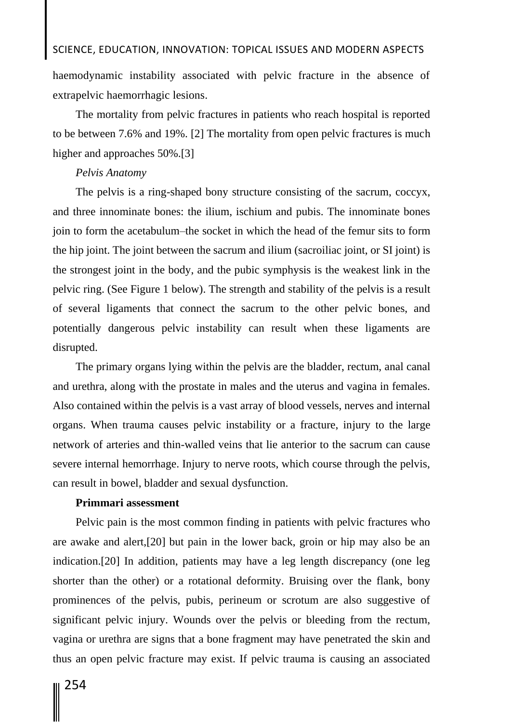haemodynamic instability associated with pelvic fracture in the absence of extrapelvic haemorrhagic lesions.

The mortality from pelvic fractures in patients who reach hospital is reported to be between 7.6% and 19%. [2] The mortality from open pelvic fractures is much higher and approaches 50%.[3]

## *Pelvis Anatomy*

The pelvis is a ring-shaped bony structure consisting of the sacrum, coccyx, and three innominate bones: the ilium, ischium and pubis. The innominate bones join to form the acetabulum–the socket in which the head of the femur sits to form the hip joint. The joint between the sacrum and ilium (sacroiliac joint, or SI joint) is the strongest joint in the body, and the pubic symphysis is the weakest link in the pelvic ring. (See Figure 1 below). The strength and stability of the pelvis is a result of several ligaments that connect the sacrum to the other pelvic bones, and potentially dangerous pelvic instability can result when these ligaments are disrupted.

The primary organs lying within the pelvis are the bladder, rectum, anal canal and urethra, along with the prostate in males and the uterus and vagina in females. Also contained within the pelvis is a vast array of blood vessels, nerves and internal organs. When trauma causes pelvic instability or a fracture, injury to the large network of arteries and thin-walled veins that lie anterior to the sacrum can cause severe internal hemorrhage. Injury to nerve roots, which course through the pelvis, can result in bowel, bladder and sexual dysfunction.

## **Primmari assessment**

Pelvic pain is the most common finding in patients with pelvic fractures who are awake and alert,[20] but pain in the lower back, groin or hip may also be an indication.[20] In addition, patients may have a leg length discrepancy (one leg shorter than the other) or a rotational deformity. Bruising over the flank, bony prominences of the pelvis, pubis, perineum or scrotum are also suggestive of significant pelvic injury. Wounds over the pelvis or bleeding from the rectum, vagina or urethra are signs that a bone fragment may have penetrated the skin and thus an open pelvic fracture may exist. If pelvic trauma is causing an associated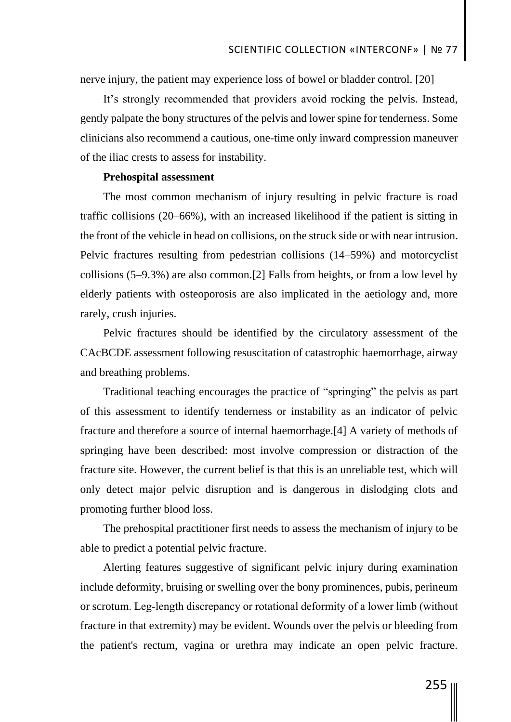nerve injury, the patient may experience loss of bowel or bladder control. [20]

It's strongly recommended that providers avoid rocking the pelvis. Instead, gently palpate the bony structures of the pelvis and lower spine for tenderness. Some clinicians also recommend a cautious, one-time only inward compression maneuver of the iliac crests to assess for instability.

## **Prehospital assessment**

The most common mechanism of injury resulting in pelvic fracture is road traffic collisions (20–66%), with an increased likelihood if the patient is sitting in the front of the vehicle in head on collisions, on the struck side or with near intrusion. Pelvic fractures resulting from pedestrian collisions (14–59%) and motorcyclist collisions (5–9.3%) are also common.[2] Falls from heights, or from a low level by elderly patients with osteoporosis are also implicated in the aetiology and, more rarely, crush injuries.

Pelvic fractures should be identified by the circulatory assessment of the CAcBCDE assessment following resuscitation of catastrophic haemorrhage, airway and breathing problems.

Traditional teaching encourages the practice of "springing" the pelvis as part of this assessment to identify tenderness or instability as an indicator of pelvic fracture and therefore a source of internal haemorrhage.[4] A variety of methods of springing have been described: most involve compression or distraction of the fracture site. However, the current belief is that this is an unreliable test, which will only detect major pelvic disruption and is dangerous in dislodging clots and promoting further blood loss.

The prehospital practitioner first needs to assess the mechanism of injury to be able to predict a potential pelvic fracture.

Alerting features suggestive of significant pelvic injury during examination include deformity, bruising or swelling over the bony prominences, pubis, perineum or scrotum. Leg‐length discrepancy or rotational deformity of a lower limb (without fracture in that extremity) may be evident. Wounds over the pelvis or bleeding from the patient's rectum, vagina or urethra may indicate an open pelvic fracture.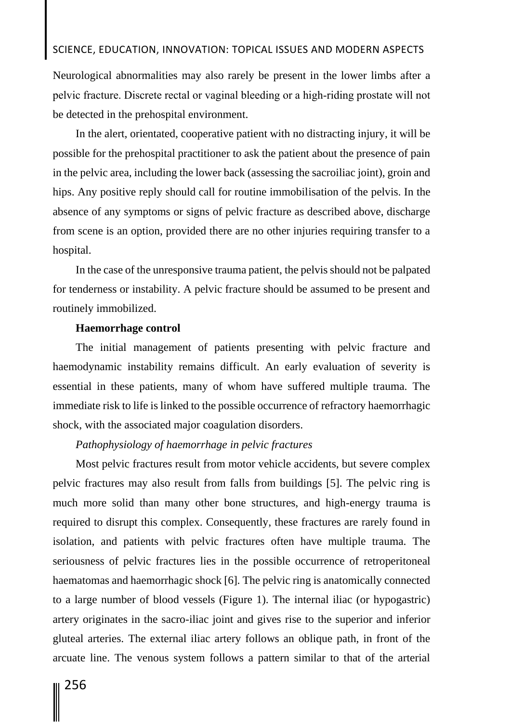Neurological abnormalities may also rarely be present in the lower limbs after a pelvic fracture. Discrete rectal or vaginal bleeding or a high‐riding prostate will not be detected in the prehospital environment.

In the alert, orientated, cooperative patient with no distracting injury, it will be possible for the prehospital practitioner to ask the patient about the presence of pain in the pelvic area, including the lower back (assessing the sacroiliac joint), groin and hips. Any positive reply should call for routine immobilisation of the pelvis. In the absence of any symptoms or signs of pelvic fracture as described above, discharge from scene is an option, provided there are no other injuries requiring transfer to a hospital.

In the case of the unresponsive trauma patient, the pelvis should not be palpated for tenderness or instability. A pelvic fracture should be assumed to be present and routinely immobilized.

## **Haemorrhage control**

The initial management of patients presenting with pelvic fracture and haemodynamic instability remains difficult. An early evaluation of severity is essential in these patients, many of whom have suffered multiple trauma. The immediate risk to life is linked to the possible occurrence of refractory haemorrhagic shock, with the associated major coagulation disorders.

## *Pathophysiology of haemorrhage in pelvic fractures*

Most pelvic fractures result from motor vehicle accidents, but severe complex pelvic fractures may also result from falls from buildings [5]. The pelvic ring is much more solid than many other bone structures, and high-energy trauma is required to disrupt this complex. Consequently, these fractures are rarely found in isolation, and patients with pelvic fractures often have multiple trauma. The seriousness of pelvic fractures lies in the possible occurrence of retroperitoneal haematomas and haemorrhagic shock [6]. The pelvic ring is anatomically connected to a large number of blood vessels (Figure 1). The internal iliac (or hypogastric) artery originates in the sacro-iliac joint and gives rise to the superior and inferior gluteal arteries. The external iliac artery follows an oblique path, in front of the arcuate line. The venous system follows a pattern similar to that of the arterial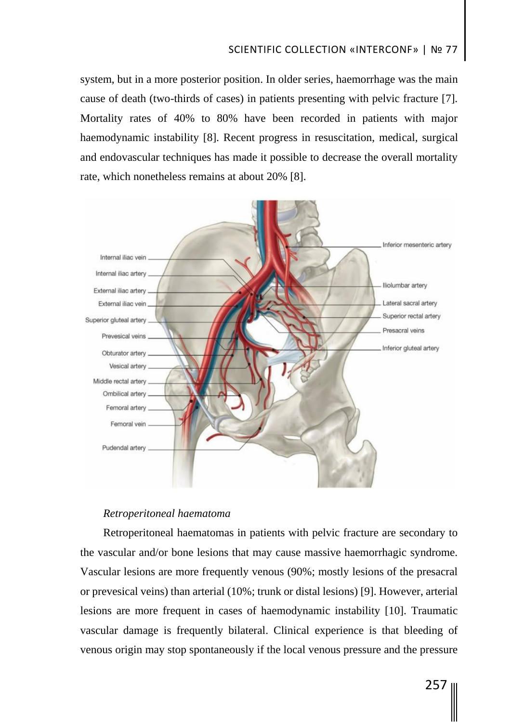# SCIENTIFIC COLLECTION «INTERCONF» | № 77

system, but in a more posterior position. In older series, haemorrhage was the main cause of death (two-thirds of cases) in patients presenting with pelvic fracture [7]. Mortality rates of 40% to 80% have been recorded in patients with major haemodynamic instability [8]. Recent progress in resuscitation, medical, surgical and endovascular techniques has made it possible to decrease the overall mortality rate, which nonetheless remains at about 20% [8].



## *Retroperitoneal haematoma*

Retroperitoneal haematomas in patients with pelvic fracture are secondary to the vascular and/or bone lesions that may cause massive haemorrhagic syndrome. Vascular lesions are more frequently venous (90%; mostly lesions of the presacral or prevesical veins) than arterial (10%; trunk or distal lesions) [9]. However, arterial lesions are more frequent in cases of haemodynamic instability [10]. Traumatic vascular damage is frequently bilateral. Clinical experience is that bleeding of venous origin may stop spontaneously if the local venous pressure and the pressure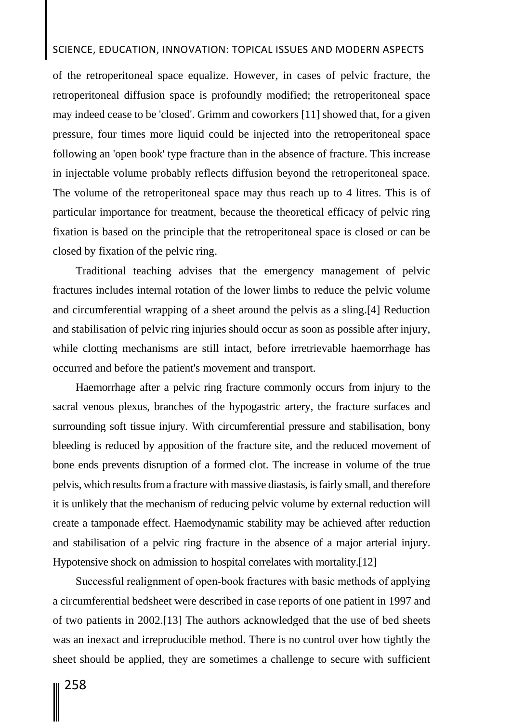of the retroperitoneal space equalize. However, in cases of pelvic fracture, the retroperitoneal diffusion space is profoundly modified; the retroperitoneal space may indeed cease to be 'closed'. Grimm and coworkers [11] showed that, for a given pressure, four times more liquid could be injected into the retroperitoneal space following an 'open book' type fracture than in the absence of fracture. This increase in injectable volume probably reflects diffusion beyond the retroperitoneal space. The volume of the retroperitoneal space may thus reach up to 4 litres. This is of particular importance for treatment, because the theoretical efficacy of pelvic ring fixation is based on the principle that the retroperitoneal space is closed or can be closed by fixation of the pelvic ring.

Traditional teaching advises that the emergency management of pelvic fractures includes internal rotation of the lower limbs to reduce the pelvic volume and circumferential wrapping of a sheet around the pelvis as a sling.[4] Reduction and stabilisation of pelvic ring injuries should occur as soon as possible after injury, while clotting mechanisms are still intact, before irretrievable haemorrhage has occurred and before the patient's movement and transport.

Haemorrhage after a pelvic ring fracture commonly occurs from injury to the sacral venous plexus, branches of the hypogastric artery, the fracture surfaces and surrounding soft tissue injury. With circumferential pressure and stabilisation, bony bleeding is reduced by apposition of the fracture site, and the reduced movement of bone ends prevents disruption of a formed clot. The increase in volume of the true pelvis, which results from a fracture with massive diastasis, is fairly small, and therefore it is unlikely that the mechanism of reducing pelvic volume by external reduction will create a tamponade effect. Haemodynamic stability may be achieved after reduction and stabilisation of a pelvic ring fracture in the absence of a major arterial injury. Hypotensive shock on admission to hospital correlates with mortality.[12]

Successful realignment of open‐book fractures with basic methods of applying a circumferential bedsheet were described in case reports of one patient in 1997 and of two patients in 2002.[13] The authors acknowledged that the use of bed sheets was an inexact and irreproducible method. There is no control over how tightly the sheet should be applied, they are sometimes a challenge to secure with sufficient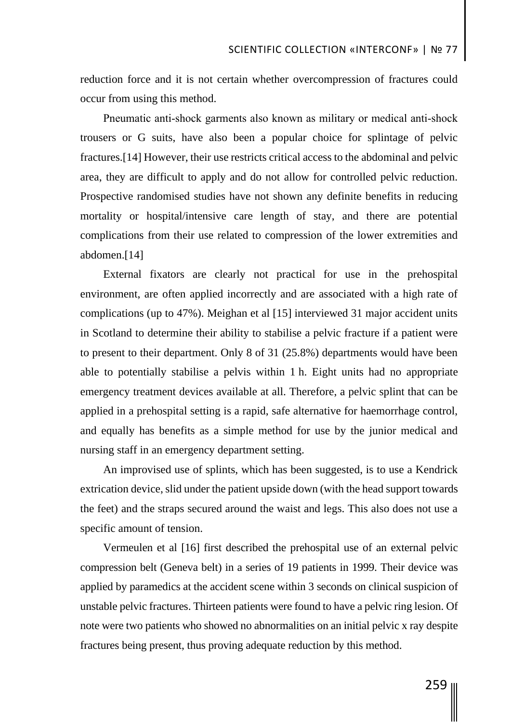reduction force and it is not certain whether overcompression of fractures could occur from using this method.

Pneumatic anti‐shock garments also known as military or medical anti‐shock trousers or G suits, have also been a popular choice for splintage of pelvic fractures.[14] However, their use restricts critical access to the abdominal and pelvic area, they are difficult to apply and do not allow for controlled pelvic reduction. Prospective randomised studies have not shown any definite benefits in reducing mortality or hospital/intensive care length of stay, and there are potential complications from their use related to compression of the lower extremities and abdomen.[14]

External fixators are clearly not practical for use in the prehospital environment, are often applied incorrectly and are associated with a high rate of complications (up to 47%). Meighan et al [15] interviewed 31 major accident units in Scotland to determine their ability to stabilise a pelvic fracture if a patient were to present to their department. Only 8 of 31 (25.8%) departments would have been able to potentially stabilise a pelvis within 1 h. Eight units had no appropriate emergency treatment devices available at all. Therefore, a pelvic splint that can be applied in a prehospital setting is a rapid, safe alternative for haemorrhage control, and equally has benefits as a simple method for use by the junior medical and nursing staff in an emergency department setting.

An improvised use of splints, which has been suggested, is to use a Kendrick extrication device, slid under the patient upside down (with the head support towards the feet) and the straps secured around the waist and legs. This also does not use a specific amount of tension.

Vermeulen et al [16] first described the prehospital use of an external pelvic compression belt (Geneva belt) in a series of 19 patients in 1999. Their device was applied by paramedics at the accident scene within 3 seconds on clinical suspicion of unstable pelvic fractures. Thirteen patients were found to have a pelvic ring lesion. Of note were two patients who showed no abnormalities on an initial pelvic x ray despite fractures being present, thus proving adequate reduction by this method.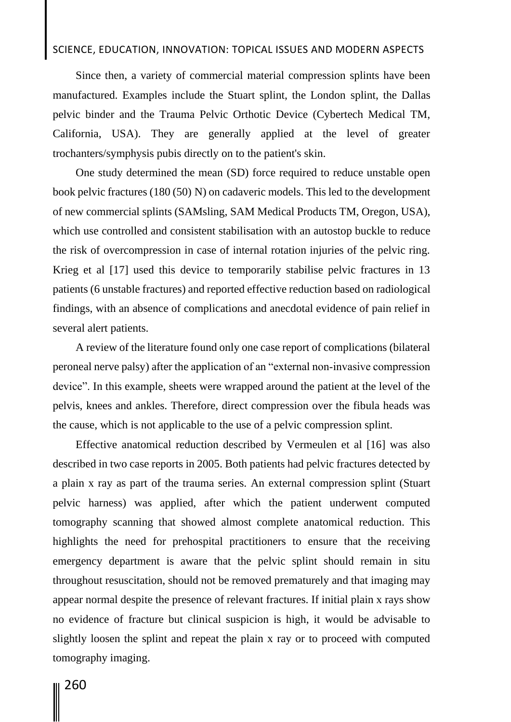Since then, a variety of commercial material compression splints have been manufactured. Examples include the Stuart splint, the London splint, the Dallas pelvic binder and the Trauma Pelvic Orthotic Device (Cybertech Medical TM, California, USA). They are generally applied at the level of greater trochanters/symphysis pubis directly on to the patient's skin.

One study determined the mean (SD) force required to reduce unstable open book pelvic fractures (180 (50) N) on cadaveric models. This led to the development of new commercial splints (SAMsling, SAM Medical Products TM, Oregon, USA), which use controlled and consistent stabilisation with an autostop buckle to reduce the risk of overcompression in case of internal rotation injuries of the pelvic ring. Krieg et al [17] used this device to temporarily stabilise pelvic fractures in 13 patients (6 unstable fractures) and reported effective reduction based on radiological findings, with an absence of complications and anecdotal evidence of pain relief in several alert patients.

A review of the literature found only one case report of complications (bilateral peroneal nerve palsy) after the application of an "external non‐invasive compression device". In this example, sheets were wrapped around the patient at the level of the pelvis, knees and ankles. Therefore, direct compression over the fibula heads was the cause, which is not applicable to the use of a pelvic compression splint.

Effective anatomical reduction described by Vermeulen et al [16] was also described in two case reports in 2005. Both patients had pelvic fractures detected by a plain x ray as part of the trauma series. An external compression splint (Stuart pelvic harness) was applied, after which the patient underwent computed tomography scanning that showed almost complete anatomical reduction. This highlights the need for prehospital practitioners to ensure that the receiving emergency department is aware that the pelvic splint should remain in situ throughout resuscitation, should not be removed prematurely and that imaging may appear normal despite the presence of relevant fractures. If initial plain x rays show no evidence of fracture but clinical suspicion is high, it would be advisable to slightly loosen the splint and repeat the plain x ray or to proceed with computed tomography imaging.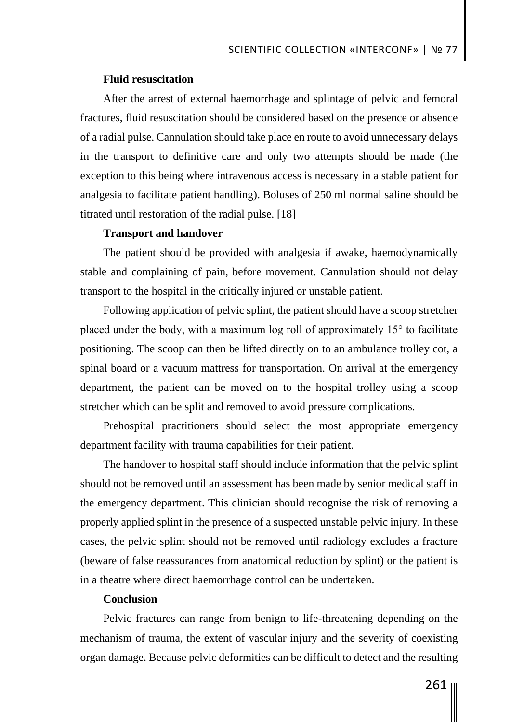### **Fluid resuscitation**

After the arrest of external haemorrhage and splintage of pelvic and femoral fractures, fluid resuscitation should be considered based on the presence or absence of a radial pulse. Cannulation should take place en route to avoid unnecessary delays in the transport to definitive care and only two attempts should be made (the exception to this being where intravenous access is necessary in a stable patient for analgesia to facilitate patient handling). Boluses of 250 ml normal saline should be titrated until restoration of the radial pulse. [18]

## **Transport and handover**

The patient should be provided with analgesia if awake, haemodynamically stable and complaining of pain, before movement. Cannulation should not delay transport to the hospital in the critically injured or unstable patient.

Following application of pelvic splint, the patient should have a scoop stretcher placed under the body, with a maximum log roll of approximately 15° to facilitate positioning. The scoop can then be lifted directly on to an ambulance trolley cot, a spinal board or a vacuum mattress for transportation. On arrival at the emergency department, the patient can be moved on to the hospital trolley using a scoop stretcher which can be split and removed to avoid pressure complications.

Prehospital practitioners should select the most appropriate emergency department facility with trauma capabilities for their patient.

The handover to hospital staff should include information that the pelvic splint should not be removed until an assessment has been made by senior medical staff in the emergency department. This clinician should recognise the risk of removing a properly applied splint in the presence of a suspected unstable pelvic injury. In these cases, the pelvic splint should not be removed until radiology excludes a fracture (beware of false reassurances from anatomical reduction by splint) or the patient is in a theatre where direct haemorrhage control can be undertaken.

## **Conclusion**

Pelvic fractures can range from benign to life-threatening depending on the mechanism of trauma, the extent of vascular injury and the severity of coexisting organ damage. Because pelvic deformities can be difficult to detect and the resulting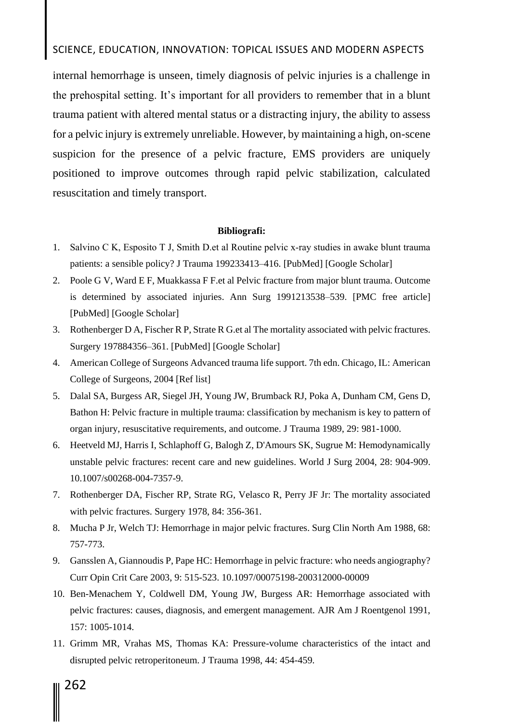internal hemorrhage is unseen, timely diagnosis of pelvic injuries is a challenge in the prehospital setting. It's important for all providers to remember that in a blunt trauma patient with altered mental status or a distracting injury, the ability to assess for a pelvic injury is extremely unreliable. However, by maintaining a high, on-scene suspicion for the presence of a pelvic fracture, EMS providers are uniquely positioned to improve outcomes through rapid pelvic stabilization, calculated resuscitation and timely transport.

### **Bibliografi:**

- 1. Salvino C K, Esposito T J, Smith D.et al Routine pelvic x‐ray studies in awake blunt trauma patients: a sensible policy? J Trauma 199233413–416. [PubMed] [Google Scholar]
- 2. Poole G V, Ward E F, Muakkassa F F.et al Pelvic fracture from major blunt trauma. Outcome is determined by associated injuries. Ann Surg 1991213538–539. [PMC free article] [PubMed] [Google Scholar]
- 3. Rothenberger D A, Fischer R P, Strate R G.et al The mortality associated with pelvic fractures. Surgery 197884356–361. [PubMed] [Google Scholar]
- 4. American College of Surgeons Advanced trauma life support. 7th edn. Chicago, IL: American College of Surgeons, 2004 [Ref list]
- 5. Dalal SA, Burgess AR, Siegel JH, Young JW, Brumback RJ, Poka A, Dunham CM, Gens D, Bathon H: Pelvic fracture in multiple trauma: classification by mechanism is key to pattern of organ injury, resuscitative requirements, and outcome. J Trauma 1989, 29: 981-1000.
- 6. Heetveld MJ, Harris I, Schlaphoff G, Balogh Z, D'Amours SK, Sugrue M: Hemodynamically unstable pelvic fractures: recent care and new guidelines. World J Surg 2004, 28: 904-909. 10.1007/s00268-004-7357-9.
- 7. Rothenberger DA, Fischer RP, Strate RG, Velasco R, Perry JF Jr: The mortality associated with pelvic fractures. Surgery 1978, 84: 356-361.
- 8. Mucha P Jr, Welch TJ: Hemorrhage in major pelvic fractures. Surg Clin North Am 1988, 68: 757-773.
- 9. Gansslen A, Giannoudis P, Pape HC: Hemorrhage in pelvic fracture: who needs angiography? Curr Opin Crit Care 2003, 9: 515-523. 10.1097/00075198-200312000-00009
- 10. Ben-Menachem Y, Coldwell DM, Young JW, Burgess AR: Hemorrhage associated with pelvic fractures: causes, diagnosis, and emergent management. AJR Am J Roentgenol 1991, 157: 1005-1014.
- 11. Grimm MR, Vrahas MS, Thomas KA: Pressure-volume characteristics of the intact and disrupted pelvic retroperitoneum. J Trauma 1998, 44: 454-459.
	- 262